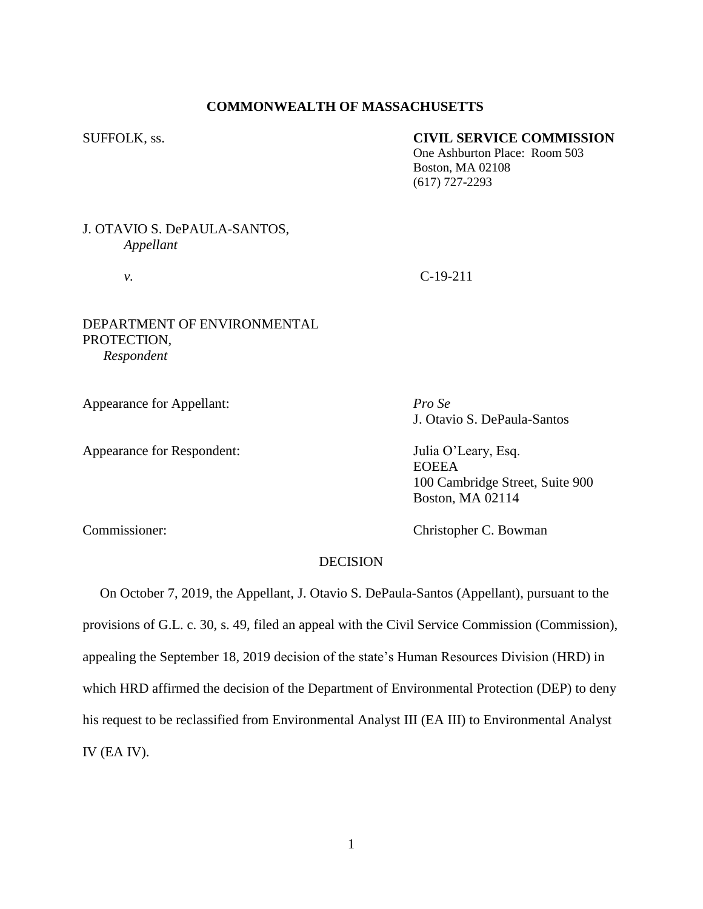# **COMMONWEALTH OF MASSACHUSETTS**

### SUFFOLK, ss. **CIVIL SERVICE COMMISSION**

One Ashburton Place: Room 503 Boston, MA 02108 (617) 727-2293

# J. OTAVIO S. DePAULA-SANTOS, *Appellant*

*v.* C-19-211

# DEPARTMENT OF ENVIRONMENTAL PROTECTION, *Respondent*

Appearance for Appellant: *Pro Se*

Appearance for Respondent: Julia O'Leary, Esq.

J. Otavio S. DePaula-Santos

EOEEA 100 Cambridge Street, Suite 900 Boston, MA 02114

Commissioner: Christopher C. Bowman

# **DECISION**

 On October 7, 2019, the Appellant, J. Otavio S. DePaula-Santos (Appellant), pursuant to the provisions of G.L. c. 30, s. 49, filed an appeal with the Civil Service Commission (Commission), appealing the September 18, 2019 decision of the state's Human Resources Division (HRD) in which HRD affirmed the decision of the Department of Environmental Protection (DEP) to deny his request to be reclassified from Environmental Analyst III (EA III) to Environmental Analyst IV (EA IV).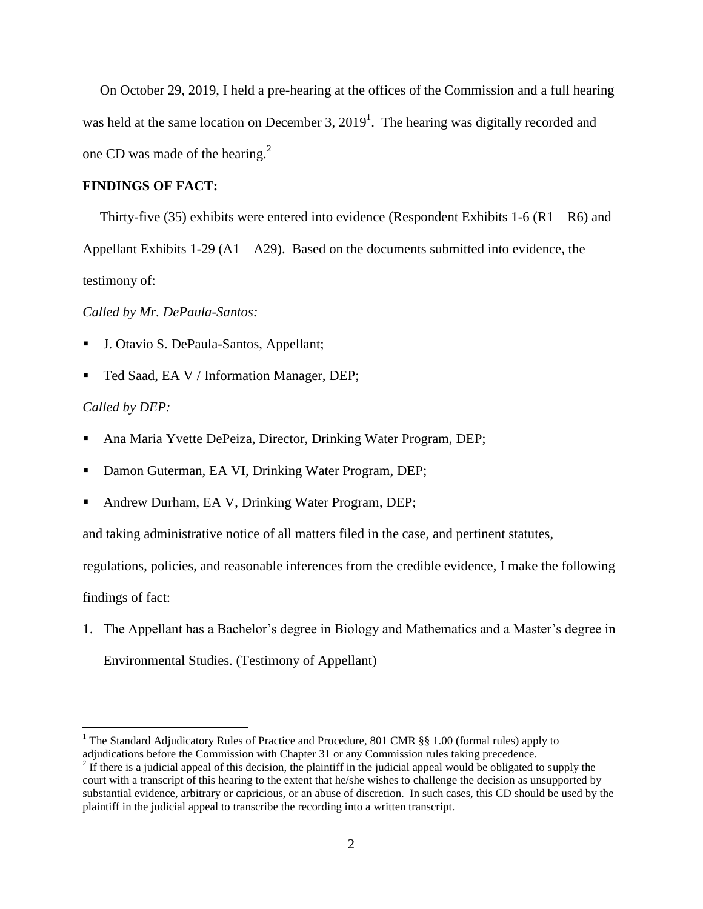On October 29, 2019, I held a pre-hearing at the offices of the Commission and a full hearing was held at the same location on December 3,  $2019<sup>1</sup>$ . The hearing was digitally recorded and one CD was made of the hearing. $2$ 

### **FINDINGS OF FACT:**

Thirty-five (35) exhibits were entered into evidence (Respondent Exhibits 1-6 (R1 – R6) and

Appellant Exhibits 1-29 ( $A1 - A29$ ). Based on the documents submitted into evidence, the

testimony of:

*Called by Mr. DePaula-Santos:*

- J. Otavio S. DePaula-Santos, Appellant;
- Ted Saad, EA V / Information Manager, DEP;

### *Called by DEP:*

- Ana Maria Yvette DePeiza, Director, Drinking Water Program, DEP;
- **Damon Guterman, EA VI, Drinking Water Program, DEP;**
- Andrew Durham, EA V, Drinking Water Program, DEP;

and taking administrative notice of all matters filed in the case, and pertinent statutes,

regulations, policies, and reasonable inferences from the credible evidence, I make the following

findings of fact:

 $\overline{a}$ 

1. The Appellant has a Bachelor's degree in Biology and Mathematics and a Master's degree in Environmental Studies. (Testimony of Appellant)

<sup>&</sup>lt;sup>1</sup> The Standard Adjudicatory Rules of Practice and Procedure, 801 CMR §§ 1.00 (formal rules) apply to adjudications before the Commission with Chapter 31 or any Commission rules taking precedence.

 $2<sup>2</sup>$  If there is a judicial appeal of this decision, the plaintiff in the judicial appeal would be obligated to supply the court with a transcript of this hearing to the extent that he/she wishes to challenge the decision as unsupported by substantial evidence, arbitrary or capricious, or an abuse of discretion. In such cases, this CD should be used by the plaintiff in the judicial appeal to transcribe the recording into a written transcript.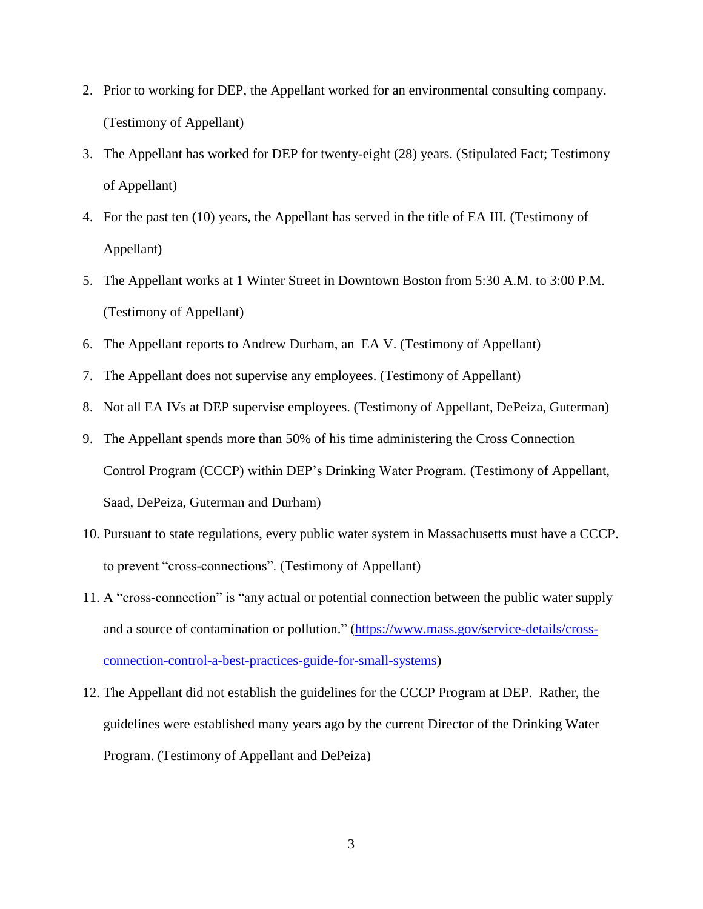- 2. Prior to working for DEP, the Appellant worked for an environmental consulting company. (Testimony of Appellant)
- 3. The Appellant has worked for DEP for twenty-eight (28) years. (Stipulated Fact; Testimony of Appellant)
- 4. For the past ten (10) years, the Appellant has served in the title of EA III. (Testimony of Appellant)
- 5. The Appellant works at 1 Winter Street in Downtown Boston from 5:30 A.M. to 3:00 P.M. (Testimony of Appellant)
- 6. The Appellant reports to Andrew Durham, an EA V. (Testimony of Appellant)
- 7. The Appellant does not supervise any employees. (Testimony of Appellant)
- 8. Not all EA IVs at DEP supervise employees. (Testimony of Appellant, DePeiza, Guterman)
- 9. The Appellant spends more than 50% of his time administering the Cross Connection Control Program (CCCP) within DEP's Drinking Water Program. (Testimony of Appellant, Saad, DePeiza, Guterman and Durham)
- 10. Pursuant to state regulations, every public water system in Massachusetts must have a CCCP. to prevent "cross-connections". (Testimony of Appellant)
- 11. A "cross-connection" is "any actual or potential connection between the public water supply and a source of contamination or pollution." [\(https://www.mass.gov/service-details/cross](https://www.mass.gov/service-details/cross-connection-control-a-best-practices-guide-for-small-systems)[connection-control-a-best-practices-guide-for-small-systems\)](https://www.mass.gov/service-details/cross-connection-control-a-best-practices-guide-for-small-systems)
- 12. The Appellant did not establish the guidelines for the CCCP Program at DEP. Rather, the guidelines were established many years ago by the current Director of the Drinking Water Program. (Testimony of Appellant and DePeiza)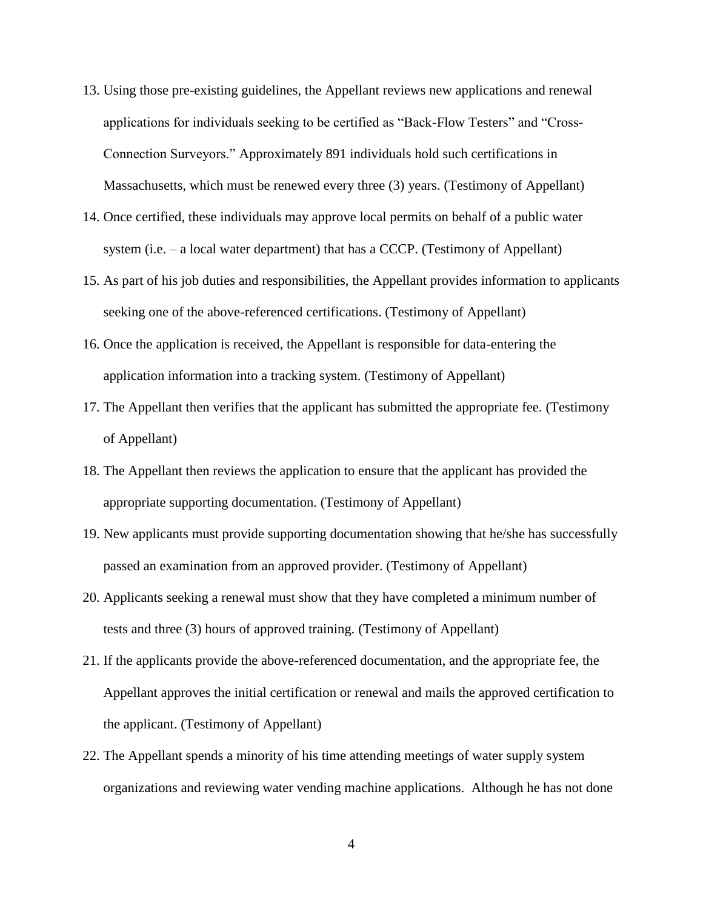- 13. Using those pre-existing guidelines, the Appellant reviews new applications and renewal applications for individuals seeking to be certified as "Back-Flow Testers" and "Cross-Connection Surveyors." Approximately 891 individuals hold such certifications in Massachusetts, which must be renewed every three (3) years. (Testimony of Appellant)
- 14. Once certified, these individuals may approve local permits on behalf of a public water system (i.e. – a local water department) that has a CCCP. (Testimony of Appellant)
- 15. As part of his job duties and responsibilities, the Appellant provides information to applicants seeking one of the above-referenced certifications. (Testimony of Appellant)
- 16. Once the application is received, the Appellant is responsible for data-entering the application information into a tracking system. (Testimony of Appellant)
- 17. The Appellant then verifies that the applicant has submitted the appropriate fee. (Testimony of Appellant)
- 18. The Appellant then reviews the application to ensure that the applicant has provided the appropriate supporting documentation. (Testimony of Appellant)
- 19. New applicants must provide supporting documentation showing that he/she has successfully passed an examination from an approved provider. (Testimony of Appellant)
- 20. Applicants seeking a renewal must show that they have completed a minimum number of tests and three (3) hours of approved training. (Testimony of Appellant)
- 21. If the applicants provide the above-referenced documentation, and the appropriate fee, the Appellant approves the initial certification or renewal and mails the approved certification to the applicant. (Testimony of Appellant)
- 22. The Appellant spends a minority of his time attending meetings of water supply system organizations and reviewing water vending machine applications. Although he has not done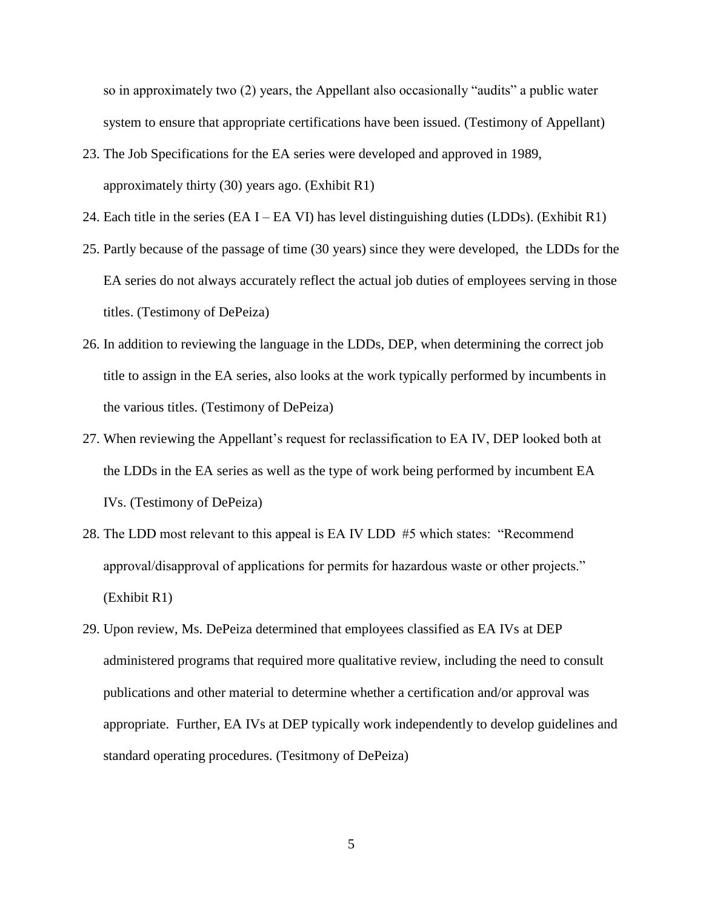so in approximately two (2) years, the Appellant also occasionally "audits" a public water system to ensure that appropriate certifications have been issued. (Testimony of Appellant)

- 23. The Job Specifications for the EA series were developed and approved in 1989, approximately thirty (30) years ago. (Exhibit R1)
- 24. Each title in the series (EA I EA VI) has level distinguishing duties (LDDs). (Exhibit R1)
- 25. Partly because of the passage of time (30 years) since they were developed, the LDDs for the EA series do not always accurately reflect the actual job duties of employees serving in those titles. (Testimony of DePeiza)
- 26. In addition to reviewing the language in the LDDs, DEP, when determining the correct job title to assign in the EA series, also looks at the work typically performed by incumbents in the various titles. (Testimony of DePeiza)
- 27. When reviewing the Appellant's request for reclassification to EA IV, DEP looked both at the LDDs in the EA series as well as the type of work being performed by incumbent EA IVs. (Testimony of DePeiza)
- 28. The LDD most relevant to this appeal is EA IV LDD #5 which states: "Recommend approval/disapproval of applications for permits for hazardous waste or other projects." (Exhibit R1)
- 29. Upon review, Ms. DePeiza determined that employees classified as EA IVs at DEP administered programs that required more qualitative review, including the need to consult publications and other material to determine whether a certification and/or approval was appropriate. Further, EA IVs at DEP typically work independently to develop guidelines and standard operating procedures. (Tesitmony of DePeiza)

5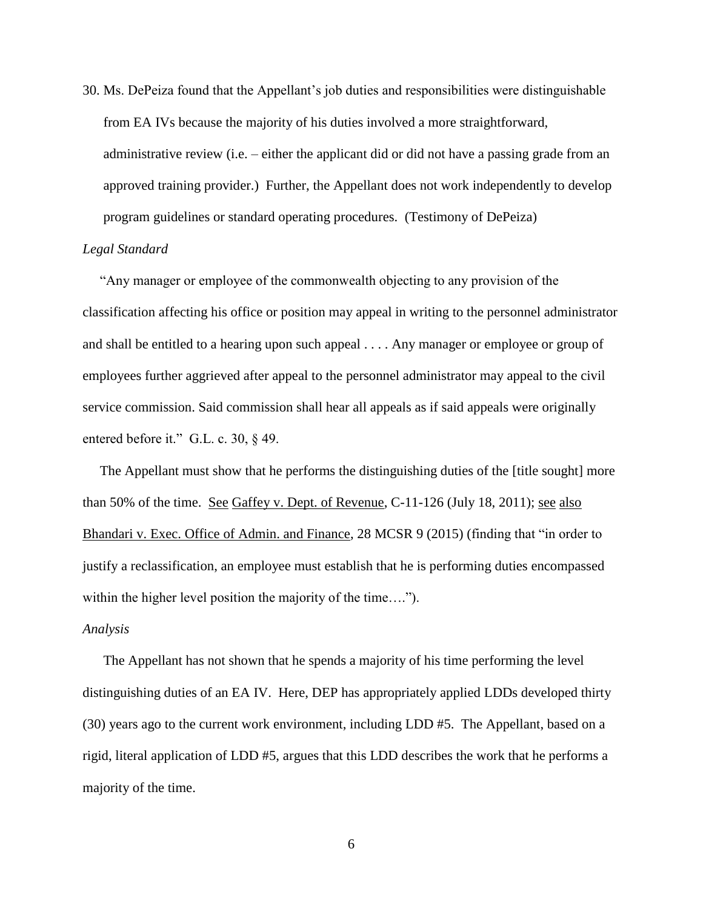30. Ms. DePeiza found that the Appellant's job duties and responsibilities were distinguishable from EA IVs because the majority of his duties involved a more straightforward, administrative review (i.e. – either the applicant did or did not have a passing grade from an approved training provider.) Further, the Appellant does not work independently to develop program guidelines or standard operating procedures. (Testimony of DePeiza)

#### *Legal Standard*

"Any manager or employee of the commonwealth objecting to any provision of the classification affecting his office or position may appeal in writing to the personnel administrator and shall be entitled to a hearing upon such appeal . . . . Any manager or employee or group of employees further aggrieved after appeal to the personnel administrator may appeal to the civil service commission. Said commission shall hear all appeals as if said appeals were originally entered before it." G.L. c. 30, § 49.

 The Appellant must show that he performs the distinguishing duties of the [title sought] more than 50% of the time. <u>See Gaffey v. Dept. of Revenue</u>, C-11-126 (July 18, 2011); <u>see also</u> Bhandari v. Exec. Office of Admin. and Finance, 28 MCSR 9 (2015) (finding that "in order to justify a reclassification, an employee must establish that he is performing duties encompassed within the higher level position the majority of the time....").

#### *Analysis*

 The Appellant has not shown that he spends a majority of his time performing the level distinguishing duties of an EA IV. Here, DEP has appropriately applied LDDs developed thirty (30) years ago to the current work environment, including LDD #5. The Appellant, based on a rigid, literal application of LDD #5, argues that this LDD describes the work that he performs a majority of the time.

6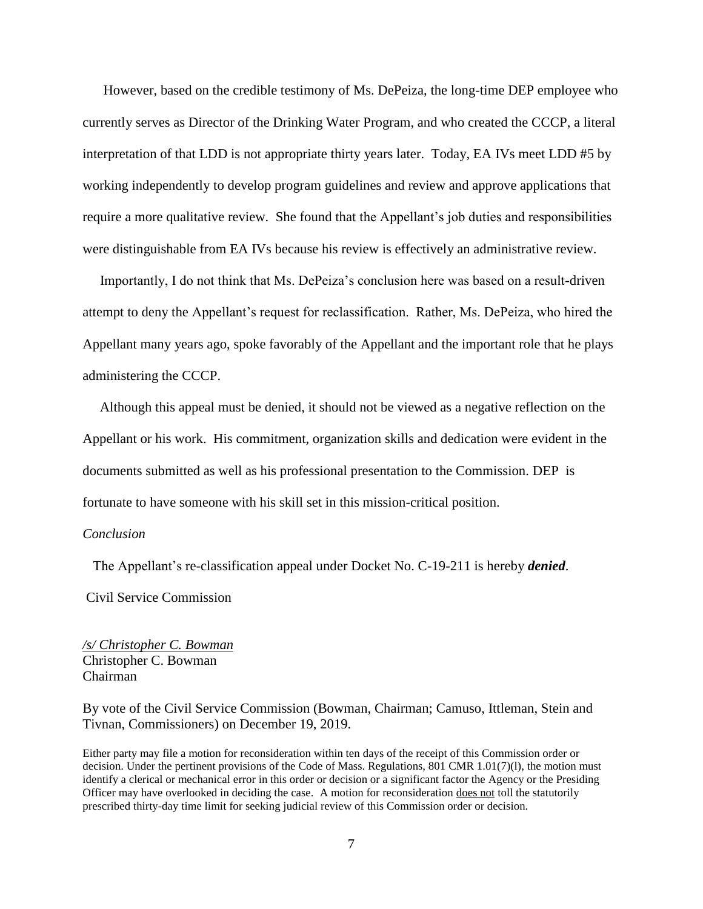However, based on the credible testimony of Ms. DePeiza, the long-time DEP employee who currently serves as Director of the Drinking Water Program, and who created the CCCP, a literal interpretation of that LDD is not appropriate thirty years later. Today, EA IVs meet LDD #5 by working independently to develop program guidelines and review and approve applications that require a more qualitative review. She found that the Appellant's job duties and responsibilities were distinguishable from EA IVs because his review is effectively an administrative review.

 Importantly, I do not think that Ms. DePeiza's conclusion here was based on a result-driven attempt to deny the Appellant's request for reclassification. Rather, Ms. DePeiza, who hired the Appellant many years ago, spoke favorably of the Appellant and the important role that he plays administering the CCCP.

 Although this appeal must be denied, it should not be viewed as a negative reflection on the Appellant or his work. His commitment, organization skills and dedication were evident in the documents submitted as well as his professional presentation to the Commission. DEP is fortunate to have someone with his skill set in this mission-critical position.

#### *Conclusion*

 The Appellant's re-classification appeal under Docket No. C-19-211 is hereby *denied*. Civil Service Commission

*/s/ Christopher C. Bowman* Christopher C. Bowman Chairman

By vote of the Civil Service Commission (Bowman, Chairman; Camuso, Ittleman, Stein and Tivnan, Commissioners) on December 19, 2019.

Either party may file a motion for reconsideration within ten days of the receipt of this Commission order or decision. Under the pertinent provisions of the Code of Mass. Regulations, 801 CMR 1.01(7)(l), the motion must identify a clerical or mechanical error in this order or decision or a significant factor the Agency or the Presiding Officer may have overlooked in deciding the case. A motion for reconsideration does not toll the statutorily prescribed thirty-day time limit for seeking judicial review of this Commission order or decision.